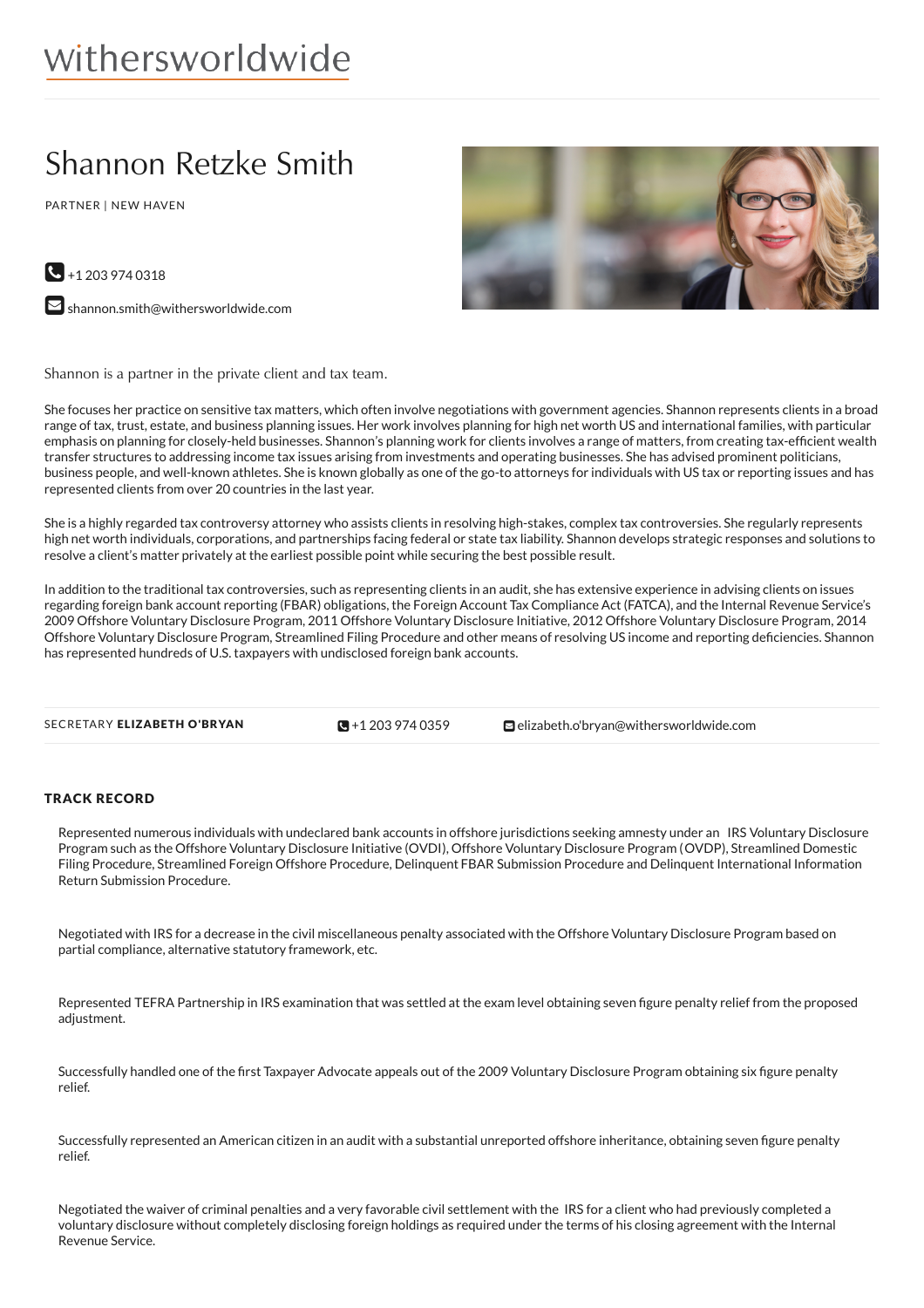# Shannon Retzke Smith

PARTNER | NEW HAVEN





 $\blacktriangleright$  [shannon.smith@withersworldwide.com](mailto:shannon.smith@withersworldwide.com?subject=Website Enquiry - Profile Page)

Shannon is a partner in the private client and tax team.

She focuses her practice on sensitive tax matters, which often involve negotiations with government agencies. Shannon represents clients in a broad range of tax, trust, estate, and business planning issues. Her work involves planning for high net worth US and international families, with particular emphasis on planning for closely-held businesses. Shannon's planning work for clients involves a range of matters, from creating tax-efficient wealth transfer structures to addressing income tax issues arising from investments and operating businesses. She has advised prominent politicians, business people, and well-known athletes. She is known globally as one of the go-to attorneys for individuals with US tax or reporting issues and has represented clients from over 20 countries in the last year.

She is a highly regarded tax controversy attorney who assists clients in resolving high-stakes, complex tax controversies. She regularly represents high net worth individuals, corporations, and partnerships facing federal or state tax liability. Shannon develops strategic responses and solutions to resolve a client's matter privately at the earliest possible point while securing the best possible result.

In addition to the traditional tax controversies, such as representing clients in an audit, she has extensive experience in advising clients on issues regarding foreign bank account reporting (FBAR) obligations, the Foreign Account Tax Compliance Act (FATCA), and the Internal Revenue Service's 2009 Offshore Voluntary Disclosure Program, 2011 Offshore Voluntary Disclosure Initiative, 2012 Offshore Voluntary Disclosure Program, 2014 Offshore Voluntary Disclosure Program, Streamlined Filing Procedure and other means of resolving US income and reporting deficiencies. Shannon has represented hundreds of U.S. taxpayers with undisclosed foreign bank accounts.

```
SECRETARY ELIZABETH O'BRYAN \mathbb{S}0359elizabeth.o'bryan@withersworldwide.com
```
 $\blacksquare$  +1 203 974 0359

## TRACK RECORD

Represented numerous individuals with undeclared bank accounts in offshore jurisdictions seeking amnesty under an IRS Voluntary Disclosure Program such as the Offshore Voluntary Disclosure Initiative (OVDI), Offshore Voluntary Disclosure Program (OVDP), Streamlined Domestic Filing Procedure, Streamlined Foreign Offshore Procedure, Delinquent FBAR Submission Procedure and Delinquent International Information Return Submission Procedure.

Negotiated with IRS for a decrease in the civil miscellaneous penalty associated with the Offshore Voluntary Disclosure Program based on partial compliance, alternative statutory framework, etc.

Represented TEFRA Partnership in IRS examination that was settled at the exam level obtaining seven figure penalty relief from the proposed adjustment.

Successfully handled one of the first Taxpayer Advocate appeals out of the 2009 Voluntary Disclosure Program obtaining six figure penalty relief.

Successfully represented an American citizen in an audit with a substantial unreported offshore inheritance, obtaining seven figure penalty relief.

Negotiated the waiver of criminal penalties and a very favorable civil settlement with the IRS for a client who had previously completed a voluntary disclosure without completely disclosing foreign holdings as required under the terms of his closing agreement with the Internal Revenue Service.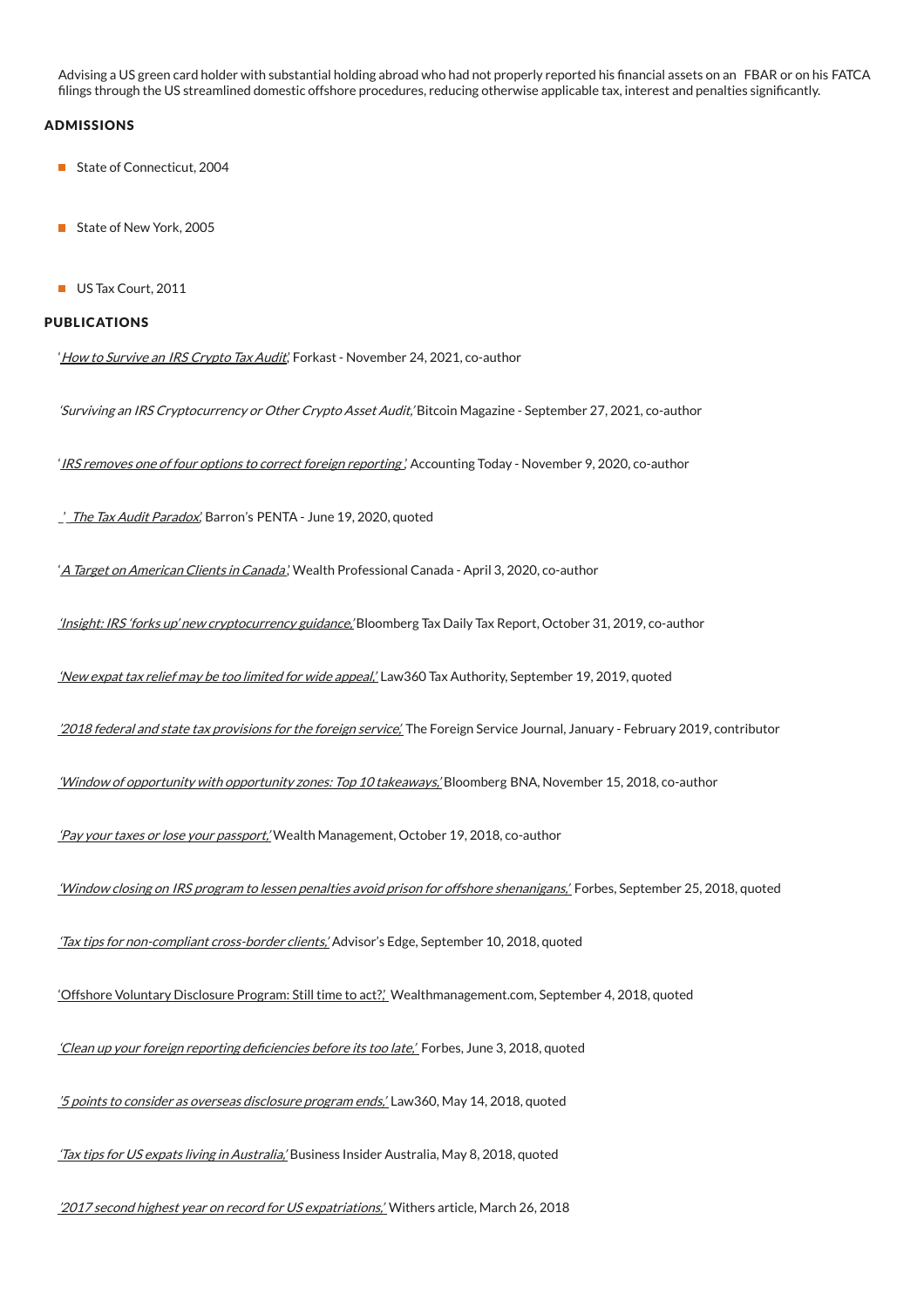Advising a US green card holder with substantial holding abroad who had not properly reported his financial assets on an FBAR or on his FATCA filings through the US streamlined domestic offshore procedures, reducing otherwise applicable tax, interest and penalties significantly.

## ADMISSIONS

- State of Connecticut, 2004
- State of New York, 2005
- US Tax Court, 2011

#### PUBLICATIONS

'How to Survive an IRS [Crypto](https://forkast.news/how-to-survive-an-irs-crypto-tax-audit/) Tax Audit', Forkast - November 24, 2021, co-author

'Surviving an IRS Cryptocurrency or Other Crypto Asset Audit,' Bitcoin Magazine - September 27, 2021, co-author

'IRS removes one of four options to correct foreign [reporting](https://www.accountingtoday.com/opinion/irs-removes-one-of-the-four-options-to-correct-foreign-reporting)', Accounting Today - November 9, 2020, co-author

\_'\_The Tax Audit [Paradox](https://www.barrons.com/articles/the-tax-audit-paradox-01592593388), Barron's PENTA - June 19, 2020, quoted

'A Target on [American](https://www.wealthprofessional.ca/news/industry-news/a-target-on-american-clients-in-canada/328278) Clients in Canada,' Wealth Professional Canada - April 3, 2020, co-author

'Insight: IRS 'forks up' new [cryptocurrency](https://marketing.withersworldwide.com/reaction/emsdocuments/WithersCryptoGuidance.pdf) guidance,' Bloomberg Tax Daily Tax Report, October 31, 2019, co-author

'New expat tax relief may be too limited for wide [appeal,'](https://www.law360.com/tax-authority/articles/1200763/new-expat-tax-relief-may-be-too-limited-for-wide-appeal) Law360 Tax Authority, September 19, 2019, quoted

'2018 federal and state tax [provisions](https://www.afsa.org/sites/default/files/flipping_book/010219/68/) for the foreign service'. The Foreign Service Journal, January - February 2019, contributor

'Window of opportunity with [opportunity](https://marketing.withersworldwide.com/reaction/emsdocuments/PDFs/Opportunity_Zones_Bloomberg_Tax.pdf) zones: Top 10 takeaways,' Bloomberg BNA, November 15, 2018, co-author

'Pay your taxes or lose your [passport,'](https://www.wealthmanagement.com/print/101895) Wealth Management, October 19, 2018, co-author

'Window closing on IRS program to lessen penalties avoid prison for offshore [shenanigans,'](https://www.forbes.com/sites/peterjreilly/2018/09/25/window-closing-on-irs-program-to-lessen-penalties-avoid-prison-for-offshore-shenanigans/#60da1b072861) Forbes, September 25, 2018, quoted

'Tax tips for [non-compliant](https://www.advisor.ca/tax/tax-news/tax-tips-for-non-compliant-cross-border-clients/) cross-border clients,' Advisor's Edge, September 10, 2018, quoted

'Offshore Voluntary [Disclosure](https://www.wealthmanagement.com/high-net-worth/offshore-voluntary-disclosure-program-still-time-act) Program: Still time to act?,' Wealthmanagement.com, September 4, 2018, quoted

'Clean up your foreign reporting deficiencies before its too late,' Forbes, June 3, 2018, quoted

'5 points to consider as overseas [disclosure](https://www.law360.com/tax/articles/1042466/5-points-to-consider-as-overseas-disclosure-program-ends?nl_pk=6b78f7ab-14c8-42bf-9aa2-daa171f495a9&utm_source=newsletter&utm_medium=email&utm_campaign=tax) program ends,' Law360, May 14, 2018, quoted

'Tax tips for US expats living in [Australia,](https://www.businessinsider.com.au/tax-tips-for-us-expats-living-in-australia-2018-5)' Business Insider Australia, May 8, 2018, quoted

2017 second highest year on record for US expatriations.' Withers article, March 26, 2018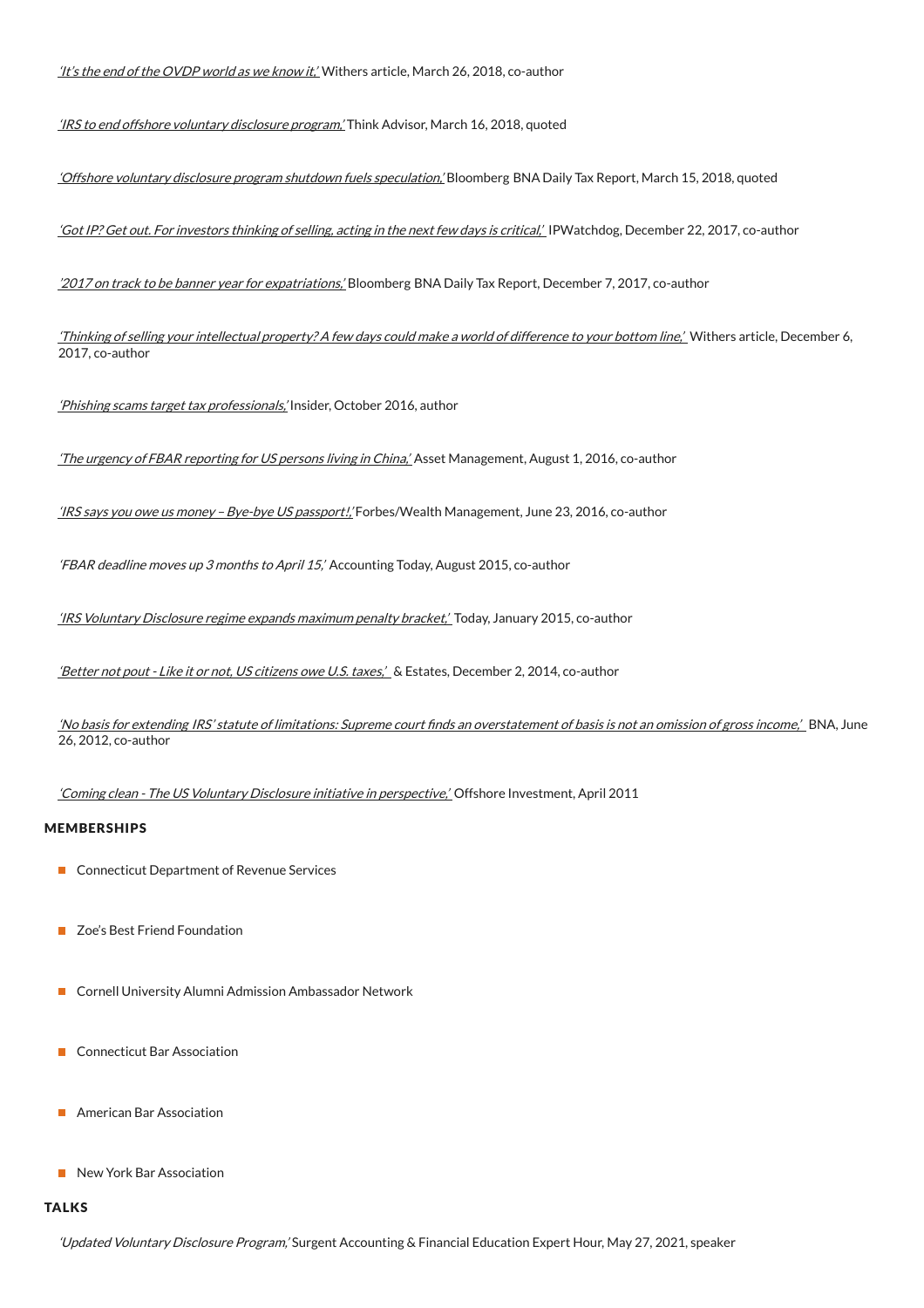It's the end of the [OVDP](https://www.withersworldwide.com/en-gb/insight/article/pdf/7411) world as we know it,' Withers article, March 26, 2018, co-author

'IRS to end offshore [voluntary](https://www.thinkadvisor.com/2018/03/16/irs-plans-to-end-offshore-voluntary-disclosure-pro/?slreturn=20191006153358) disclosure program.' Think Advisor, March 16, 2018, quoted

'Offshore voluntary disclosure program shutdown fuels [speculation,'](https://marketing.withersworldwide.com/reaction/emsdocuments/offshorevoluntary.pdf) Bloomberg BNA Daily Tax Report, March 15, 2018, quoted

'Got IP? Get out. For [investors](https://www.ipwatchdog.com/2017/12/22/investors-thinking-selling-acting-next-few-days-critical/id%3D91483/) thinking of selling, acting in the next few days is critical,' IPWatchdog, December 22, 2017, co-author

'2017 on track to be banner year for [expatriations,'](https://marketing.withersworldwide.com/reaction/emsdocuments/PDFs/2017_on_track_to_be_banner_year_for_expatriation.pdf) Bloomberg BNA Daily Tax Report, December 7, 2017, co-author

'Thinking of selling your intellectual [property?](https://www.withersworldwide.com/en-gb/thinking-of-selling-your-intellectual-property-a-few-days-could-make-a-world-of-difference-to-your-bottom-line) A few days could make a world of difference to your bottom line,' Withers article, December 6, 2017, co-author

'Phishing scams target tax [professionals,](https://www.thetaxadviser.com/newsletters/2016/oct/phishing-scams-target-accountants-and-tax-attorneys.html?utm_source=mnl:taxinsider&utm_medium=email&utm_campaign=27Oct2016Tax)' Insider, October 2016, author

'The urgency of FBAR [reporting](https://fundintelligence.global/wealth-management/opinion/the-urgency-of-fbar-reporting-for-us-persons-living-in-china/Private) for US persons living in China,' Asset Management, August 1, 2016, co-author

'IRS says you owe us money –Bye-bye US [passport!,](http://wealthmanagement.com/high-net-worth/irs-says-you-owe-us-money-bye-bye-us-passport)' Forbes/Wealth Management, June 23, 2016, co-author

'FBAR deadline moves up 3 months to April 15,' Accounting Today, August 2015, co-author

'IRS [Voluntary](http://www.accountingtoday.com/news/irs-watch/irs-voluntary-disclosure-regime-expands-maximum-penalty-bracket-73491-1.htmlAccounting) Disclosure regime expands maximum penalty bracket,' Today, January 2015, co-author

'Better not pout - Like it or not, US citizens owe U.S. taxes,' & Estates, December 2, 2014, co-author

'No basis for extending IRS' statute of limitations: Supreme court finds an [overstatement](https://marketing.withersworldwide.com/reaction/emsdocuments/NoBasisforExtending2.pdfBloomberg) of basis is not an omission of gross income,' BNA, June 26, 2012, co-author

'Coming clean - The US Voluntary Disclosure initiative in [perspective,'](https://marketing.withersworldwide.com/reaction/emsdocuments/comingclean.pdf) Offshore Investment, April 2011

## MEMBERSHIPS

- Connecticut Department of Revenue Services
- **Zoe's Best Friend Foundation**
- Cornell University Alumni Admission Ambassador Network
- **Connecticut Bar Association**
- **American Bar Association**
- New York Bar Association

#### **TALKS**

'Updated Voluntary Disclosure Program,' Surgent Accounting & Financial Education Expert Hour, May 27, 2021, speaker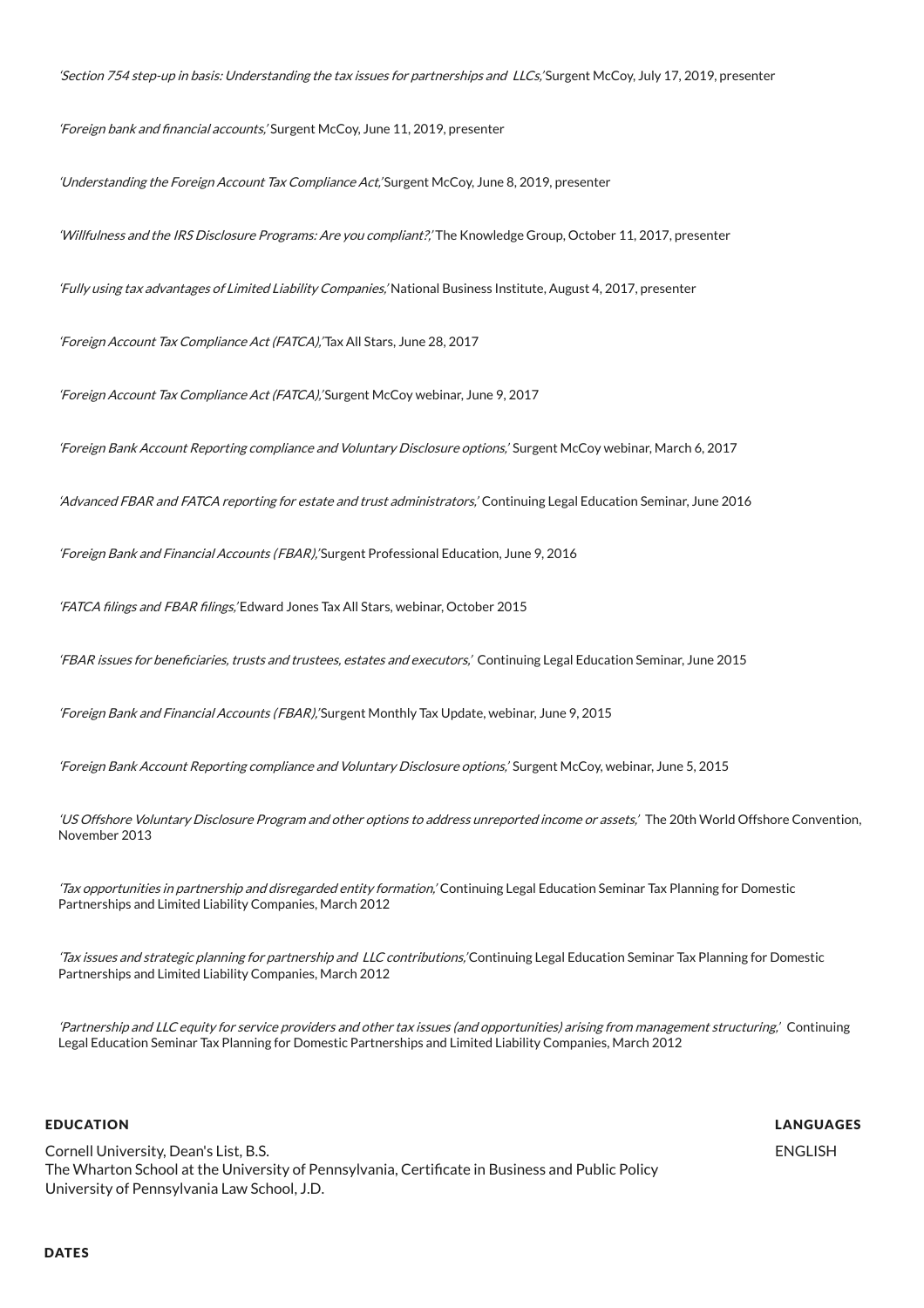'Section 754 step-up in basis: Understanding the tax issues for partnerships and LLCs,' Surgent McCoy, July 17, 2019, presenter

'Foreign bank and financial accounts,' Surgent McCoy, June 11, 2019, presenter

'Understanding the Foreign Account Tax Compliance Act,' Surgent McCoy, June 8, 2019, presenter

'Willfulness and the IRS Disclosure Programs: Are you compliant?,' The Knowledge Group, October 11, 2017, presenter

'Fully using tax advantages of Limited Liability Companies,' National Business Institute, August 4, 2017, presenter

'Foreign Account Tax Compliance Act (FATCA),' Tax All Stars, June 28, 2017

'Foreign Account Tax Compliance Act (FATCA),' Surgent McCoy webinar, June 9, 2017

'Foreign Bank Account Reporting compliance and Voluntary Disclosure options,' Surgent McCoy webinar, March 6, 2017

'Advanced FBAR and FATCA reporting for estate and trust administrators,' Continuing Legal Education Seminar, June 2016

'Foreign Bank and Financial Accounts (FBAR),' Surgent Professional Education, June 9, 2016

'FATCA filings and FBAR filings,' Edward Jones Tax All Stars, webinar, October 2015

'FBAR issues for beneficiaries, trusts and trustees, estates and executors,' Continuing Legal Education Seminar, June 2015

'Foreign Bank and Financial Accounts (FBAR),' Surgent Monthly Tax Update, webinar, June 9, 2015

'Foreign Bank Account Reporting compliance and Voluntary Disclosure options,' Surgent McCoy, webinar, June 5, 2015

'US Offshore Voluntary Disclosure Program and other options to address unreported income or assets,' The 20th World Offshore Convention, November 2013

'Tax opportunities in partnership and disregarded entity formation,' Continuing Legal Education Seminar Tax Planning for Domestic Partnerships and Limited Liability Companies, March 2012

'Tax issues and strategic planning for partnership and LLC contributions,'Continuing Legal Education Seminar Tax Planning for Domestic Partnerships and Limited Liability Companies, March 2012

'Partnership and LLC equity for service providers and other tax issues (and opportunities) arising from management structuring,' Continuing Legal Education Seminar Tax Planning for Domestic Partnerships and Limited Liability Companies, March 2012

## EDUCATION

Cornell University, Dean's List, B.S. The Wharton School at the University of Pennsylvania, Certificate in Business and Public Policy University of Pennsylvania Law School, J.D.

LANGUAGES

ENGLISH